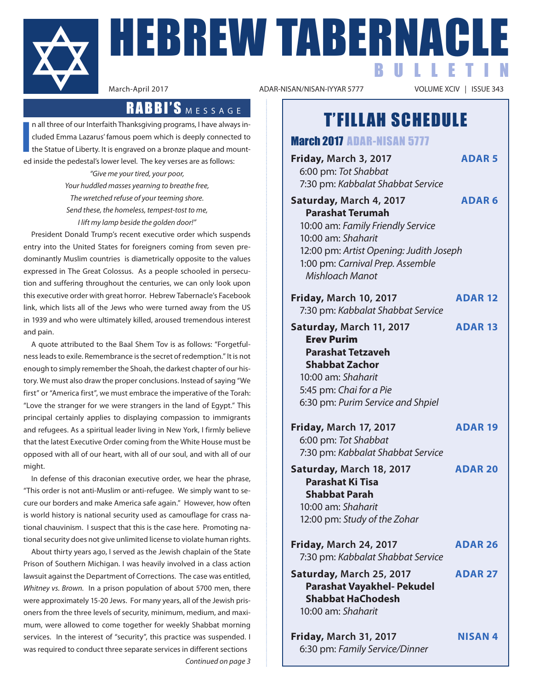

**I**

**HEBREW TABERNACLE** BULLETIN

ADAR-NISAN/NISAN-IYYAR 5777

# T'FILLAH SCHEDULE

n all three of our Interfaith Thanksgiving programs, I have always included Emma Lazarus' famous poem which is deeply connected to the Statue of Liberty. It is engraved on a bronze plaque and mounted inside the pedestal's lower level. The key verses are as follows:

RABBI'S MESSAGE

*"Give me your tired, your poor, Your huddled masses yearning to breathe free, The wretched refuse of your teeming shore. Send these, the homeless, tempest-tost to me, I lift my lamp beside the golden door!"*

President Donald Trump's recent executive order which suspends entry into the United States for foreigners coming from seven predominantly Muslim countries is diametrically opposite to the values expressed in The Great Colossus. As a people schooled in persecution and suffering throughout the centuries, we can only look upon this executive order with great horror. Hebrew Tabernacle's Facebook link, which lists all of the Jews who were turned away from the US in 1939 and who were ultimately killed, aroused tremendous interest and pain.

A quote attributed to the Baal Shem Tov is as follows: "Forgetfulness leads to exile. Remembrance is the secret of redemption." It is not enough to simply remember the Shoah, the darkest chapter of our history. We must also draw the proper conclusions. Instead of saying "We first" or "America first", we must embrace the imperative of the Torah: "Love the stranger for we were strangers in the land of Egypt." This principal certainly applies to displaying compassion to immigrants and refugees. As a spiritual leader living in New York, I firmly believe that the latest Executive Order coming from the White House must be opposed with all of our heart, with all of our soul, and with all of our might.

In defense of this draconian executive order, we hear the phrase, "This order is not anti-Muslim or anti-refugee. We simply want to secure our borders and make America safe again." However, how often is world history is national security used as camouflage for crass national chauvinism. I suspect that this is the case here. Promoting national security does not give unlimited license to violate human rights.

About thirty years ago, I served as the Jewish chaplain of the State Prison of Southern Michigan. I was heavily involved in a class action lawsuit against the Department of Corrections. The case was entitled, *Whitney vs. Brown.* In a prison population of about 5700 men, there were approximately 15-20 Jews. For many years, all of the Jewish prisoners from the three levels of security, minimum, medium, and maximum, were allowed to come together for weekly Shabbat morning services. In the interest of "security", this practice was suspended. I was required to conduct three separate services in different sections *Continued on page 3*

March 2017 ADAR-NISAN 5777 **Friday, March 3, 2017 ADAR 5** 6:00 pm: *Tot Shabbat* 7:30 pm: *Kabbalat Shabbat Service* **Saturday, March 4, 2017 ADAR 6 Parashat Terumah** 10:00 am: *Family Friendly Service* 10:00 am: *Shaharit* 12:00 pm: *Artist Opening: Judith Joseph* 1:00 pm: *Carnival Prep. Assemble Mishloach Manot* **Friday, March 10, 2017 ADAR 12** 7:30 pm: *Kabbalat Shabbat Service* **Saturday, March 11, 2017 ADAR 13** Erev Purim  **Parashat Tetzaveh Shabbat Zachor** 10:00 am: *Shaharit* 5:45 pm: *Chai for a Pie* 6:30 pm: *Purim Service and Shpiel* **Friday, March 17, 2017 ADAR 19** 6:00 pm: *Tot Shabbat* 7:30 pm: *Kabbalat Shabbat Service* **Saturday, March 18, 2017 ADAR 20 Parashat Ki Tisa**

 **Shabbat Parah** 10:00 am: *Shaharit* 12:00 pm: *Study of the Zohar*

| <b>Friday, March 24, 2017</b>     | ADAR <sub>26</sub> |
|-----------------------------------|--------------------|
| 7:30 pm: Kabbalat Shabbat Service |                    |
| Saturday, March 25, 2017          | <b>ADAR 27</b>     |
| <b>Parashat Vayakhel- Pekudel</b> |                    |
| <b>Shabbat HaChodesh</b>          |                    |
| 10:00 am: Shaharit                |                    |
|                                   |                    |

| <b>Friday, March 31, 2017</b>  | <b>NISAN4</b> |
|--------------------------------|---------------|
| 6:30 pm: Family Service/Dinner |               |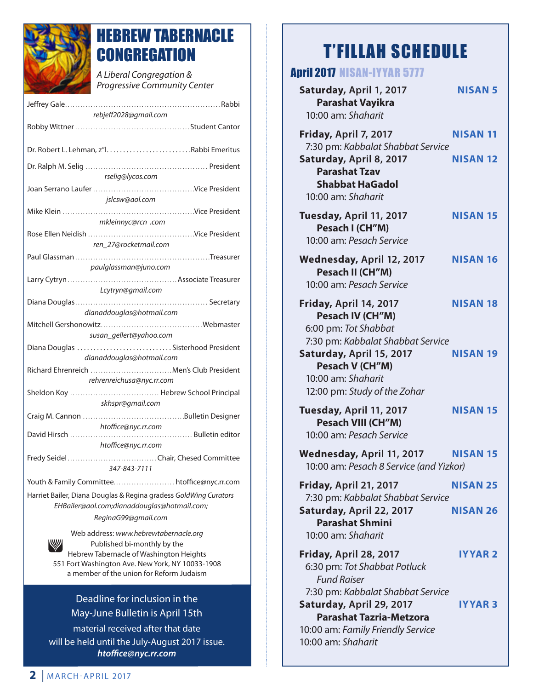

# HEBREW TABERNACLE **CONGREGATION**

*A Liberal Congregation & Progressive Community Center* 

| rebjeff2028@gmail.com                                                                                                                                                                                                |
|----------------------------------------------------------------------------------------------------------------------------------------------------------------------------------------------------------------------|
|                                                                                                                                                                                                                      |
|                                                                                                                                                                                                                      |
| rselig@lycos.com                                                                                                                                                                                                     |
| jslcsw@aol.com                                                                                                                                                                                                       |
| mkleinnyc@rcn .com                                                                                                                                                                                                   |
| ren_27@rocketmail.com                                                                                                                                                                                                |
| paulglassman@juno.com                                                                                                                                                                                                |
|                                                                                                                                                                                                                      |
| Lcytryn@gmail.com                                                                                                                                                                                                    |
| dianaddouglas@hotmail.com                                                                                                                                                                                            |
| susan_gellert@yahoo.com<br>Diana Douglas Sisterhood President                                                                                                                                                        |
| dianaddouglas@hotmail.com<br>Richard Ehrenreich  Men's Club President                                                                                                                                                |
| rehrenreichusa@nyc.rr.com                                                                                                                                                                                            |
| skhspr@gmail.com                                                                                                                                                                                                     |
| htoffice@nyc.rr.com<br>htoffice@nyc.rr.com                                                                                                                                                                           |
| Fredy SeidelChair, Chesed Committee<br>347-843-7111                                                                                                                                                                  |
| Youth & Family Committee htoffice@nyc.rr.com                                                                                                                                                                         |
| Harriet Bailer, Diana Douglas & Regina gradess GoldWing Curators<br>EHBailer@aol.com;dianaddouglas@hotmail.com;                                                                                                      |
| ReginaG99@gmail.com                                                                                                                                                                                                  |
| Web address: www.hebrewtabernacle.org<br>W<br>Published bi-monthly by the<br>Hebrew Tabernacle of Washington Heights<br>551 Fort Washington Ave. New York, NY 10033-1908<br>a member of the union for Reform Judaism |

## Deadline for inclusion in the May-June Bulletin is April 15th

material received after that date will be held until the July-August 2017 issue. *htoffice@nyc.rr.com*

# T'FILLAH SCHEDULE

## April 2017 NISAN-IYYAR 5777

| Saturday, April 1, 2017<br><b>Parashat Vayikra</b><br>10:00 am: Shaharit                                                                                   | <b>NISAN 5</b>                     |
|------------------------------------------------------------------------------------------------------------------------------------------------------------|------------------------------------|
| Friday, April 7, 2017<br>7:30 pm: Kabbalat Shabbat Service<br>Saturday, April 8, 2017<br><b>Parashat Tzav</b>                                              | <b>NISAN 11</b><br><b>NISAN 12</b> |
| <b>Shabbat HaGadol</b><br>10:00 am: Shaharit                                                                                                               |                                    |
| Tuesday, April 11, 2017<br>Pesach I (CH"M)<br>10:00 am: Pesach Service                                                                                     | <b>NISAN 15</b>                    |
| Wednesday, April 12, 2017<br>Pesach II (CH"M)<br>10:00 am: Pesach Service                                                                                  | <b>NISAN 16</b>                    |
| Friday, April 14, 2017<br>Pesach IV (CH"M)<br>6:00 pm: Tot Shabbat<br>7:30 pm: Kabbalat Shabbat Service                                                    | <b>NISAN 18</b>                    |
| Saturday, April 15, 2017<br>Pesach V (CH"M)<br>10:00 am: Shaharit<br>12:00 pm: Study of the Zohar                                                          | <b>NISAN 19</b>                    |
| Tuesday, April 11, 2017<br><b>Pesach VIII (CH"M)</b><br>10:00 am: Pesach Service                                                                           | <b>NISAN 15</b>                    |
| Wednesday, April 11, 2017<br>10:00 am: Pesach 8 Service (and Yizkor)                                                                                       | <b>NISAN 15</b>                    |
| Friday, April 21, 2017<br>7:30 pm: Kabbalat Shabbat Service<br>Saturday, April 22, 2017                                                                    | <b>NISAN 25</b><br><b>NISAN 26</b> |
| <b>Parashat Shmini</b><br>10:00 am: Shaharit                                                                                                               |                                    |
| Friday, April 28, 2017<br>6:30 pm: Tot Shabbat Potluck<br><b>Fund Raiser</b>                                                                               | <b>IYYAR 2</b>                     |
| 7:30 pm: Kabbalat Shabbat Service<br>Saturday, April 29, 2017<br><b>Parashat Tazria-Metzora</b><br>10:00 am: Family Friendly Service<br>10:00 am: Shaharit | <b>IYYAR3</b>                      |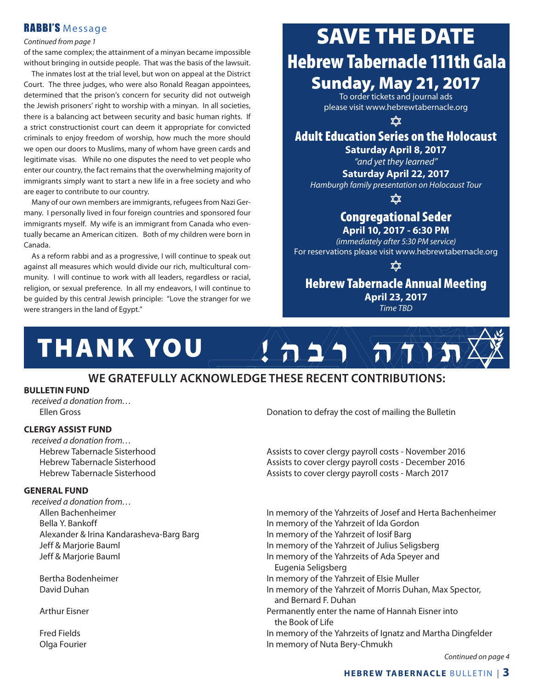## RABBI'S Message

#### *Continued from page 1*

of the same complex; the attainment of a minyan became impossible without bringing in outside people. That was the basis of the lawsuit.

The inmates lost at the trial level, but won on appeal at the District Court. The three judges, who were also Ronald Reagan appointees, determined that the prison's concern for security did not outweigh the Jewish prisoners' right to worship with a minyan. In all societies, there is a balancing act between security and basic human rights. If a strict constructionist court can deem it appropriate for convicted criminals to enjoy freedom of worship, how much the more should we open our doors to Muslims, many of whom have green cards and legitimate visas. While no one disputes the need to vet people who enter our country, the fact remains that the overwhelming majority of immigrants simply want to start a new life in a free society and who are eager to contribute to our country.

Many of our own members are immigrants, refugees from Nazi Germany. I personally lived in four foreign countries and sponsored four immigrants myself. My wife is an immigrant from Canada who eventually became an American citizen. Both of my children were born in Canada.

As a reform rabbi and as a progressive, I will continue to speak out against all measures which would divide our rich, multicultural community. I will continue to work with all leaders, regardless or racial, religion, or sexual preference. In all my endeavors, I will continue to be guided by this central Jewish principle: "Love the stranger for we were strangers in the land of Egypt."

# SAVE THE DATE Hebrew Tabernacle 111th Gala Sunday, May 21, 2017

To order tickets and journal ads please visit www.hebrewtabernacle.org

**XX** 

## Adult Education Series on the Holocaust

**Saturday April 8, 2017** *"and yet they learned"*

**Saturday April 22, 2017** *Hamburgh family presentation on Holocaust Tour*

xχ

# Congregational Seder

**April 10, 2017 - 6:30 PM** *(immediately after 5:30 PM service)* For reservations please visit www.hebrewtabernacle.org

χχ

#### Hebrew Tabernacle Annual Meeting **April 23, 2017** *Time TBD*



## **WE GRATEFULLY ACKNOWLEDGE THESE RECENT CONTRIBUTIONS:**

#### **BULLETIN FUND**

*received a donation from…*

#### **CLERGY ASSIST FUND**

*received a donation from…*

#### **GENERAL FUND**

*received a donation from…* Bella Y. Bankoff In memory of the Yahrzeit of Ida Gordon Alexander & Irina Kandarasheva-Barg Barg In memory of the Yahrzeit of Iosif Barg

Ellen Gross Donation to defray the cost of mailing the Bulletin

Hebrew Tabernacle Sisterhood **Assists to cover clergy payroll costs - November 2016** Hebrew Tabernacle Sisterhood **Assists to cover clergy payroll costs - December 2016** Hebrew Tabernacle Sisterhood Assists to cover clergy payroll costs - March 2017

Allen Bachenheimer **In memory of the Yahrzeits of Josef and Herta Bachenheimer In memory of the Yahrzeits of Josef and Herta Bachenheimer**  Jeff & Marjorie Bauml In memory of the Yahrzeit of Julius Seligsberg Jeff & Marjorie Bauml In memory of the Yahrzeits of Ada Speyer and Eugenia Seligsberg Bertha Bodenheimer **In memory of the Yahrzeit of Elsie Muller** In memory of the Yahrzeit of Elsie Muller David Duhan **In memory of the Yahrzeit of Morris Duhan**, Max Spector, and Bernard F. Duhan Arthur Eisner **Permanently enter the name of Hannah Eisner into** Permanently enter the name of Hannah Eisner into the Book of Life Fred Fields In memory of the Yahrzeits of Ignatz and Martha Dingfelder Olga Fourier In memory of Nuta Bery-Chmukh

*Continued on page 4*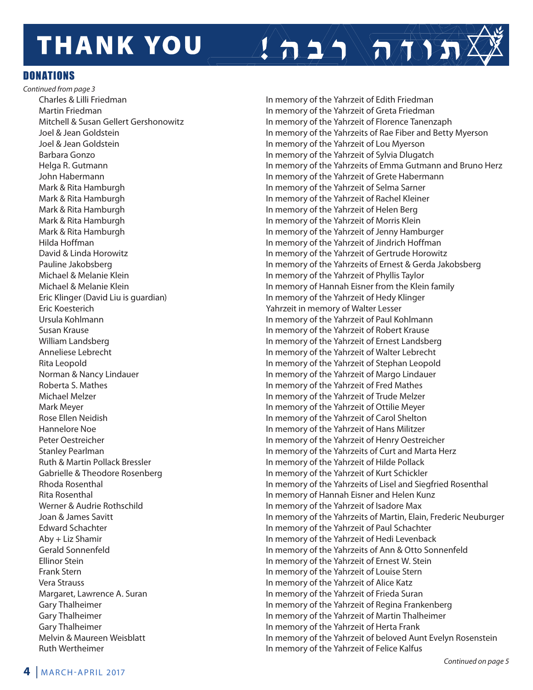# **THANK YOU**

DONATIONS

*Continued from page 3* Eric Koesterich Yahrzeit in memory of Walter Lesser Ruth Wertheimer **In memory of the Yahrzeit of Felice Kalfus** 

Charles & Lilli Friedman **In memory of the Yahrzeit of Edith Friedman**  Martin Friedman In memory of the Yahrzeit of Greta Friedman Mitchell & Susan Gellert Gershonowitz In memory of the Yahrzeit of Florence Tanenzaph Joel & Jean Goldstein In memory of the Yahrzeits of Rae Fiber and Betty Myerson Joel & Jean Goldstein In memory of the Yahrzeit of Lou Myerson Barbara Gonzo In memory of the Yahrzeit of Sylvia Dlugatch Helga R. Gutmann In memory of the Yahrzeits of Emma Gutmann and Bruno Herz John Habermann In memory of the Yahrzeit of Grete Habermann Mark & Rita Hamburgh In memory of the Yahrzeit of Selma Sarner Mark & Rita Hamburgh **In memory of the Yahrzeit of Rachel Kleiner** In memory of the Yahrzeit of Rachel Kleiner Mark & Rita Hamburgh In memory of the Yahrzeit of Helen Berg Mark & Rita Hamburgh In memory of the Yahrzeit of Morris Klein Mark & Rita Hamburgh In memory of the Yahrzeit of Jenny Hamburger Hilda Hoffman In memory of the Yahrzeit of Jindrich Hoffman David & Linda Horowitz **In memory of the Yahrzeit of Gertrude Horowitz**  Pauline Jakobsberg In memory of the Yahrzeits of Ernest & Gerda Jakobsberg Michael & Melanie Klein In memory of the Yahrzeit of Phyllis Taylor Michael & Melanie Klein In memory of Hannah Eisner from the Klein family Eric Klinger (David Liu is guardian) In memory of the Yahrzeit of Hedy Klinger Ursula Kohlmann In memory of the Yahrzeit of Paul Kohlmann Susan Krause **In memory of the Yahrzeit of Robert Krause** William Landsberg **In memory of the Yahrzeit of Ernest Landsberg** In memory of the Yahrzeit of Ernest Landsberg Anneliese Lebrecht In memory of the Yahrzeit of Walter Lebrecht Rita Leopold In memory of the Yahrzeit of Stephan Leopold Norman & Nancy Lindauer **In Marson Communist Communist Communist Communist Communist Communist Communist Communist Communist Communist Communist Communist Communist Communist Communist Communist Communist Communist Communi**  Roberta S. Mathes In memory of the Yahrzeit of Fred Mathes Michael Melzer In memory of the Yahrzeit of Trude Melzer Mark Meyer In memory of the Yahrzeit of Ottilie Meyer Rose Ellen Neidish In memory of the Yahrzeit of Carol Shelton Hannelore Noe **In memory of the Yahrzeit of Hans Militzer** In memory of the Yahrzeit of Hans Militzer Peter Oestreicher In memory of the Yahrzeit of Henry Oestreicher Stanley Pearlman In memory of the Yahrzeits of Curt and Marta Herz Ruth & Martin Pollack Bressler **In Martin 1998** In memory of the Yahrzeit of Hilde Pollack Gabrielle & Theodore Rosenberg **In memory of the Yahrzeit of Kurt Schickler** Rhoda Rosenthal **In memory of the Yahrzeits of Lisel and Siegfried Rosenthal**  Rita Rosenthal In memory of Hannah Eisner and Helen Kunz Werner & Audrie Rothschild **In the Value of the Yahrzeit of Isadore Max**  Joan & James Savitt In memory of the Yahrzeits of Martin, Elain, Frederic Neuburger Edward Schachter In memory of the Yahrzeit of Paul Schachter Aby + Liz Shamir In memory of the Yahrzeit of Hedi Levenback Gerald Sonnenfeld In memory of the Yahrzeits of Ann & Otto Sonnenfeld Ellinor Stein **In memory of the Yahrzeit of Ernest W. Stein**  Frank Stern In memory of the Yahrzeit of Louise Stern Vera Strauss In memory of the Yahrzeit of Alice Katz Margaret, Lawrence A. Suran In memory of the Yahrzeit of Frieda Suran In memory of the Yahrzeit of Frieda Suran Gary Thalheimer **In the Universe of the Yahrzeit of Regina Frankenberg** In memory of the Yahrzeit of Regina Frankenberg Gary Thalheimer **In memory of the Yahrzeit of Martin Thalheimer** In memory of the Yahrzeit of Martin Thalheimer Gary Thalheimer **In memory of the Yahrzeit of Herta Frank** Melvin & Maureen Weisblatt In memory of the Yahrzeit of beloved Aunt Evelyn Rosenstein

 $\left( \left. \text{A} \right) \right)$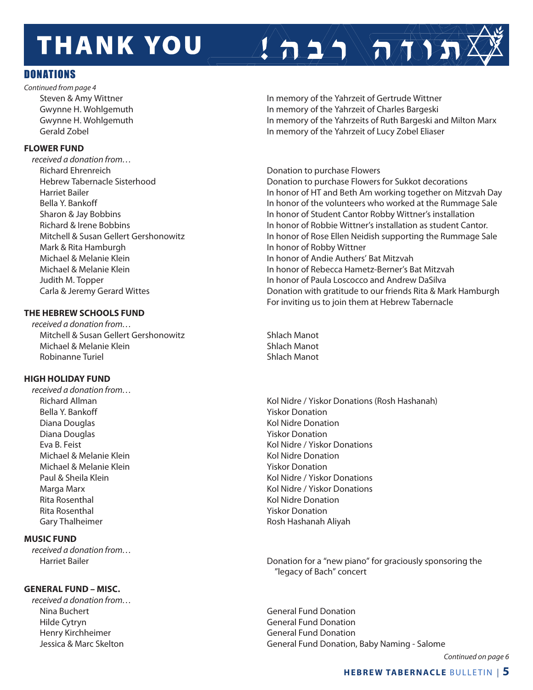# **THANK YOU**

### DONATIONS

*Continued from page 4*

#### **FLOWER FUND**

*received a donation from…* Richard Ehrenreich **Donation is a constant of the Constant Constant Constant Constant Constant Constant Constant** Mark & Rita Hamburgh **In honor of Robby Wittner** In honor of Robby Wittner

#### **THE HEBREW SCHOOLS FUND**

*received a donation from…* Mitchell & Susan Gellert Gershonowitz Shlach Manot Michael & Melanie Klein Shlach Manot Robinanne Turiel National Shlach Manot

#### **HIGH HOLIDAY FUND**

*received a donation from…* Bella Y. Bankoff **Yiskor Donation Bella Y. Bankoff** Diana Douglas **National Struck Collection** Construction National Association National Association Diana Douglas **National Struck Construction** Piskor Donation Michael & Melanie Klein Kol Nidre Donation Michael & Melanie Klein Theory Construction Nichael & Melanie Klein Rita Rosenthal North Communication and Rita Rosenthal North Communication and Richards Rita Rosental American Rita Rosenthal North Communication Number 2012 19:30 Nickel Material Structure Prince of Number 2013 Gary Thalheimer **Rosh Hashanah Aliyah** Rosh Hashanah Aliyah

#### **MUSIC FUND**

*received a donation from…*

#### **GENERAL FUND – MISC.**

*received a donation from…* Nina Buchert General Fund Donation Hilde Cytryn General Fund Donation Henry Kirchheimer General Fund Donation

Steven & Amy Wittner **In memory of the Yahrzeit of Gertrude Wittner** Gwynne H. Wohlgemuth **In memory of the Yahrzeit of Charles Bargeski**  Gwynne H. Wohlgemuth In memory of the Yahrzeits of Ruth Bargeski and Milton Marx Gerald Zobel **In memory of the Yahrzeit of Lucy Zobel Eliaser** In memory of the Yahrzeit of Lucy Zobel Eliaser

 $\sum_{i=1}^n \sum_{i=1}^n \mathcal{L}(n_i)$ 

 Hebrew Tabernacle Sisterhood Donation to purchase Flowers for Sukkot decorations Harriet Bailer In honor of HT and Beth Am working together on Mitzvah Day Bella Y. Bankoff **In the vertebra 10 and 10** km in honor of the volunteers who worked at the Rummage Sale Sharon & Jay Bobbins In honor of Student Cantor Robby Wittner's installation Richard & Irene Bobbins In honor of Robbie Wittner's installation as student Cantor. Mitchell & Susan Gellert Gershonowitz In honor of Rose Ellen Neidish supporting the Rummage Sale Michael & Melanie Klein In honor of Andie Authers' Bat Mitzvah Michael & Melanie Klein In honor of Rebecca Hametz-Berner's Bat Mitzvah Judith M. Topper In honor of Paula Loscocco and Andrew DaSilva Carla & Jeremy Gerard Wittes Donation with gratitude to our friends Rita & Mark Hamburgh For inviting us to join them at Hebrew Tabernacle

 Richard Allman Kol Nidre / Yiskor Donations (Rosh Hashanah) Eva B. Feist Kol Nidre / Yiskor Donations Paul & Sheila Klein Kol Nidre / Yiskor Donations Marga Marx **Kol Nidre / Yiskor Donations** Kol Nidre / Yiskor Donations

 Harriet Bailer Donation for a "new piano" for graciously sponsoring the "legacy of Bach" concert

Jessica & Marc Skelton General Fund Donation, Baby Naming - Salome

*Continued on page 6*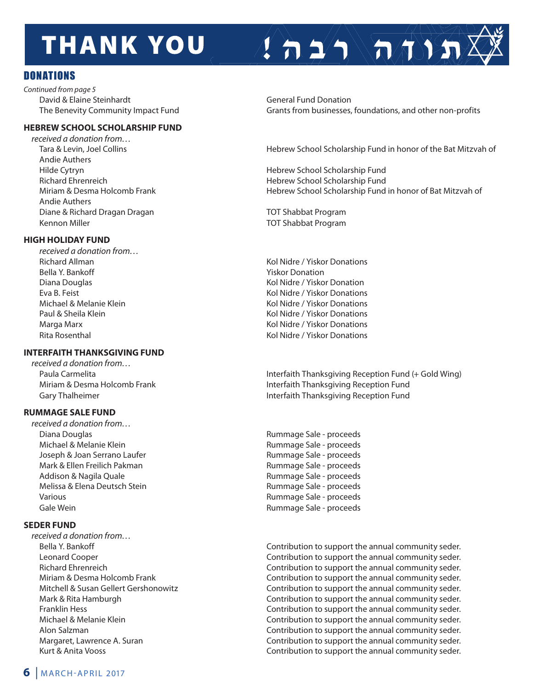# **THANK YOU**

## DONATIONS

*Continued from page 5* David & Elaine Steinhardt **General Fund Donation** General Fund Donation

#### **HEBREW SCHOOL SCHOLARSHIP FUND**

*received a donation from…* Andie Authers Andie Authers Diane & Richard Dragan Dragan TOT Shabbat Program Kennon Miller TOT Shabbat Program

#### **HIGH HOLIDAY FUND**

 *received a donation from…* **Bella Y. Bankoff** Yiskor Donation

#### **INTERFAITH THANKSGIVING FUND**

*received a donation from…*

#### **RUMMAGE SALE FUND**

*received a donation from…* Diana Douglas Rummage Sale - proceeds Michael & Melanie Klein **Rummage Sale - proceeds** Joseph & Joan Serrano Laufer **Rummage Sale - proceeds** Mark & Ellen Freilich Pakman **Rummage Sale - proceeds** Addison & Nagila Quale **Rummage Sale - proceeds** Melissa & Elena Deutsch Stein **Rummage Sale - proceeds** Various **Mathematic Community Community** Rummage Sale - proceeds Gale Wein **Gale Wein Gale - proceeds** 

#### **SEDER FUND**

*received a donation from…*

The Benevity Community Impact Fund Grants from businesses, foundations, and other non-profits

 $\sum_{i=1}^{n}$ 

Tara & Levin, Joel Collins Hebrew School Scholarship Fund in honor of the Bat Mitzvah of

 Hilde Cytryn Hebrew School Scholarship Fund Richard Ehrenreich Hebrew School Scholarship Fund Miriam & Desma Holcomb Frank **Hebrew School Scholarship Fund in honor of Bat Mitzvah of** Hebrew School Scholarship Fund in honor of Bat Mitzvah of

Richard Allman Kol Nidre / Yiskor Donations Diana Douglas Kol Nidre / Yiskor Donation Eva B. Feist Kol Nidre / Yiskor Donations Michael & Melanie Klein Kol Nidre / Yiskor Donations Paul & Sheila Klein **Kollars and Sheila Kollars and Kollars Aristor Conventions** Kol Nidre / Yiskor Donations Marga Marx Kol Nidre / Yiskor Donations Rita Rosenthal **Kollandia Rita Rosenthal** Kol Nidre / Yiskor Donations

Paula Carmelita **Interfaith Thanksgiving Reception Fund (+ Gold Wing)** Interfaith Thanksgiving Reception Fund (+ Gold Wing) Miriam & Desma Holcomb Frank Interfaith Thanksgiving Reception Fund Gary Thalheimer **Interfaith Thanksgiving Reception Fund** 

 Bella Y. Bankoff Contribution to support the annual community seder. Leonard Cooper Contribution to support the annual community seder. Richard Ehrenreich Contribution to support the annual community seder. Miriam & Desma Holcomb Frank Contribution to support the annual community seder. Mitchell & Susan Gellert Gershonowitz Contribution to support the annual community seder. Mark & Rita Hamburgh Contribution to support the annual community seder. Franklin Hess Contribution to support the annual community seder. Michael & Melanie Klein Contribution to support the annual community seder. Alon Salzman Contribution to support the annual community seder. Margaret, Lawrence A. Suran Contribution to support the annual community seder. Kurt & Anita Vooss Contribution to support the annual community seder.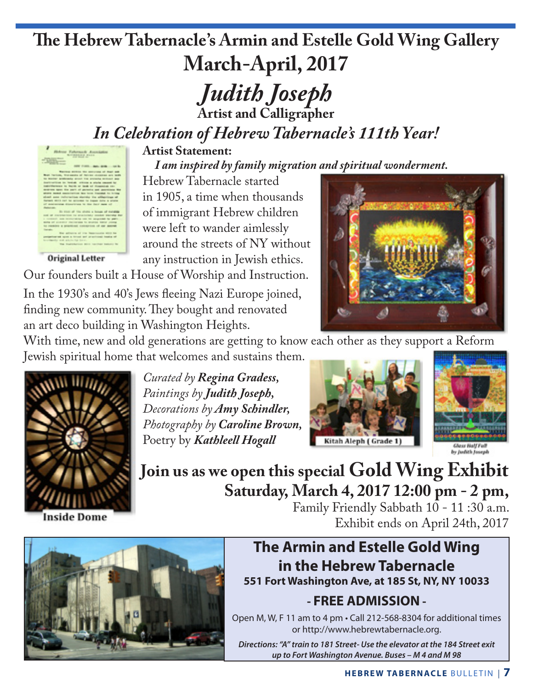# **The Hebrew Tabernacle's Armin and Estelle Gold Wing Gallery March-April, 2017**

*Judith Joseph* **Artist and Calligrapher**

*In Celebration of Hebrew Tabernacle's 111th Year!*



**Original Letter** 

**Artist Statement:**

*I am inspired by family migration and spiritual wonderment.*

Hebrew Tabernacle started in 1905, a time when thousands of immigrant Hebrew children were left to wander aimlessly around the streets of NY without any instruction in Jewish ethics.

Our founders built a House of Worship and Instruction.

In the 1930's and 40's Jews fleeing Nazi Europe joined, finding new community. They bought and renovated an art deco building in Washington Heights.



With time, new and old generations are getting to know each other as they support a Reform Jewish spiritual home that welcomes and sustains them.



*Paintings by Judith Joseph, Decorations by Amy Schindler, Photography by Caroline Brown,* Poetry by *Kathleell Hogall*

*Curated by Regina Gradess,*





**Join us as we open this special Gold Wing Exhibit Saturday, March 4, 2017 12:00 pm - 2 pm,**

Family Friendly Sabbath 10 - 11:30 a.m. Exhibit ends on April 24th, 2017



**The Armin and Estelle Gold Wing in the Hebrew Tabernacle 551 Fort Washington Ave, at 185 St, NY, NY 10033**

## **- FREE ADMISSION -**

Open M, W, F 11 am to 4 pm • Call 212-568-8304 for additional times or http://www.hebrewtabernacle.org.

*Directions: "A" train to 181 Street- Use the elevator at the 184 Street exit up to Fort Washington Avenue. Buses – M 4 and M 98*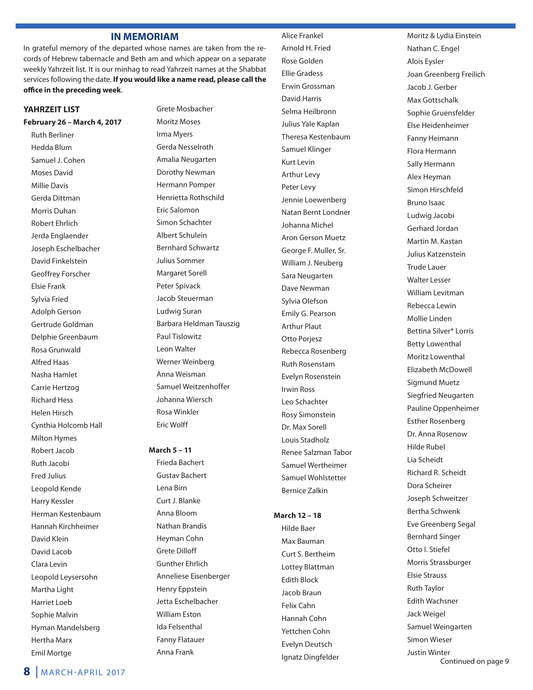#### **IN MEMORIAM**

In grateful memory of the departed whose names are taken from the records of Hebrew tabernacle and Beth am and which appear on a separate weekly Yahrzeit list. It is our minhag to read Yahrzeit names at the Shabbat services following the date. **If you would like a name read, please call the office in the preceding week**.

#### **YAHRZEIT LIST**

**February 26 – March 4, 2017**

Ruth Berliner Hedda Blum Samuel J. Cohen Moses David Millie Davis Gerda Dittman Morris Duhan Robert Ehrlich Jerda Englaender Joseph Eschelbacher David Finkelstein Geoffrey Forscher Elsie Frank Sylvia Fried Adolph Gerson Gertrude Goldman Delphie Greenbaum Rosa Grunwald Alfred Haas Nasha Hamlet Carrie Hertzog Richard Hess Helen Hirsch Cynthia Holcomb Hall Milton Hymes Robert Jacob Ruth Jacobi Fred Julius Leopold Kende Harry Kessler Herman Kestenbaum Hannah Kirchheimer David Klein David Lacob Clara Levin Leopold Leysersohn Martha Light Harriet Loeb Sophie Malvin Hyman Mandelsberg Hertha Marx Emil Mortge

Grete Mosbacher Moritz Moses Irma Myers Gerda Nesselroth Amalia Neugarten Dorothy Newman Hermann Pomper Henrietta Rothschild Eric Salomon Simon Schachter Albert Schulein Bernhard Schwartz Julius Sommer Margaret Sorell Peter Spivack Jacob Steuerman Ludwig Suran Barbara Heldman Tauszig Paul Tislowitz Leon Walter Werner Weinberg Anna Weisman Samuel Weitzenhoffer Johanna Wiersch Rosa Winkler Eric Wolff

#### **March 5 – 11**

Frieda Bachert Gustav Bachert Lena Birn Curt J. Blanke Anna Bloom Nathan Brandis Heyman Cohn Grete Dilloff Gunther Ehrlich Anneliese Eisenberger Henry Eppstein Jetta Eschelbacher William Eston Ida Felsenthal Fanny Flatauer Anna Frank

Arnold H. Fried Rose Golden Ellie Gradess Erwin Grossman David Harris Selma Heilbronn Julius Yale Kaplan Theresa Kestenbaum Samuel Klinger Kurt Levin Arthur Levy Peter Levy Jennie Loewenberg Natan Bernt Londner Johanna Michel Aron Gerson Muetz George F. Muller, Sr. William J. Neuberg Sara Neugarten Dave Newman Sylvia Olefson Emily G. Pearson Arthur Plaut Otto Porjesz Rebecca Rosenberg Ruth Rosenstam Evelyn Rosenstein Irwin Ross Leo Schachter Rosy Simonstein Dr. Max Sorell Louis Stadholz Renee Salzman Tabor Samuel Wertheimer Samuel Wohlstetter Bernice Zalkin

Alice Frankel

#### **March 12 – 18**

Hilde Baer Max Bauman Curt S. Bertheim Lottey Blattman Edith Block Jacob Braun Felix Cahn Hannah Cohn Yettchen Cohn Evelyn Deutsch Ignatz Dingfelder Moritz & Lydia Einstein Nathan C. Engel Alois Eysler Joan Greenberg Freilich Jacob J. Gerber Max Gottschalk Sophie Gruensfelder Else Heidenheimer Fanny Heimann Flora Hermann Sally Hermann Alex Heyman Simon Hirschfeld Bruno Isaac Ludwig Jacobi Gerhard Jordan Martin M. Kastan Julius Katzenstein Trude Lauer Walter Lesser William Levitman Rebecca Lewin Mollie Linden Bettina Silver\* Lorris Betty Lowenthal Moritz Lowenthal Elizabeth McDowell Sigmund Muetz Siegfried Neugarten Pauline Oppenheimer Esther Rosenberg Dr. Anna Rosenow Hilde Rubel Lia Scheidt Richard R. Scheidt Dora Scheirer Joseph Schweitzer Bertha Schwenk Eve Greenberg Segal Bernhard Singer Otto I. Stiefel Morris Strassburger Elsie Strauss Ruth Taylor Edith Wachsner Jack Weigel Samuel Weingarten Simon Wieser Justin Winter

Continued on page 9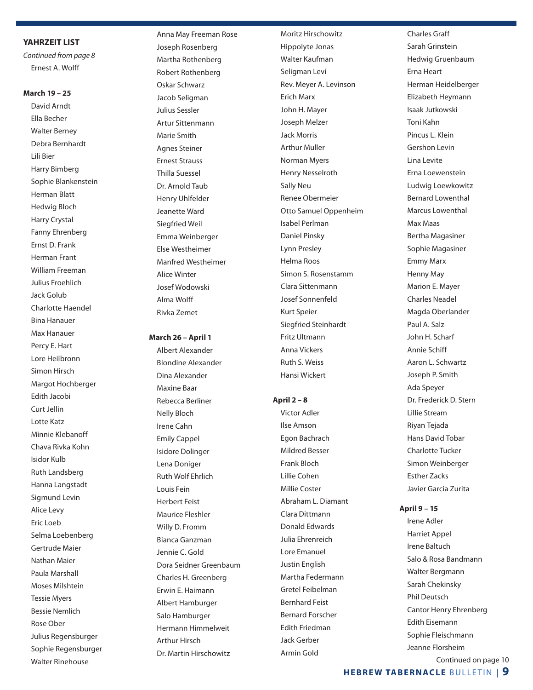#### **YAHRZEIT LIST**

*Continued from page 8* Ernest A. Wolff

#### **March 19 – 25**

David Arndt Ella Becher Walter Berney Debra Bernhardt Lili Bier Harry Bimberg Sophie Blankenstein Herman Blatt Hedwig Bloch Harry Crystal Fanny Ehrenberg Ernst D. Frank Herman Frant William Freeman Julius Froehlich Jack Golub Charlotte Haendel Bina Hanauer Max Hanauer Percy E. Hart Lore Heilbronn Simon Hirsch Margot Hochberger Edith Jacobi Curt Jellin Lotte Katz Minnie Klebanoff Chava Rivka Kohn Isidor Kulb Ruth Landsberg Hanna Langstadt Sigmund Levin Alice Levy Eric Loeb Selma Loebenberg Gertrude Maier Nathan Maier Paula Marshall Moses Milshtein Tessie Myers Bessie Nemlich Rose Ober Julius Regensburger Sophie Regensburger Walter Rinehouse

 Anna May Freeman Rose Joseph Rosenberg Martha Rothenberg Robert Rothenberg Oskar Schwarz Jacob Seligman Julius Sessler Artur Sittenmann Marie Smith Agnes Steiner Ernest Strauss Thilla Suessel Dr. Arnold Taub Henry Uhlfelder Jeanette Ward Siegfried Weil Emma Weinberger Else Westheimer Manfred Westheimer Alice Winter Josef Wodowski Alma Wolff Rivka Zemet

#### **March 26 – April 1**

Albert Alexander Blondine Alexander Dina Alexander Maxine Baar Rebecca Berliner Nelly Bloch Irene Cahn Emily Cappel Isidore Dolinger Lena Doniger Ruth Wolf Ehrlich Louis Fein Herbert Feist Maurice Fleshler Willy D. Fromm Bianca Ganzman Jennie C. Gold Dora Seidner Greenbaum Charles H. Greenberg Erwin E. Haimann Albert Hamburger Salo Hamburger Hermann Himmelweit Arthur Hirsch Dr. Martin Hirschowitz

Moritz Hirschowitz Hippolyte Jonas Walter Kaufman Seligman Levi Rev. Meyer A. Levinson Erich Marx John H. Mayer Joseph Melzer Jack Morris Arthur Muller Norman Myers Henry Nesselroth Sally Neu Renee Obermeier Otto Samuel Oppenheim Isabel Perlman Daniel Pinsky Lynn Presley Helma Roos Simon S. Rosenstamm Clara Sittenmann Josef Sonnenfeld Kurt Speier Siegfried Steinhardt Fritz Ultmann Anna Vickers Ruth S. Weiss Hansi Wickert

#### **April 2 – 8**

Victor Adler Ilse Amson Egon Bachrach Mildred Besser Frank Bloch Lillie Cohen Millie Coster Abraham L. Diamant Clara Dittmann Donald Edwards Julia Ehrenreich Lore Emanuel Justin English Martha Federmann Gretel Feibelman Bernhard Feist Bernard Forscher Edith Friedman Jack Gerber Armin Gold

Charles Graff Sarah Grinstein Hedwig Gruenbaum Erna Heart Herman Heidelberger Elizabeth Heymann Isaak Jutkowski Toni Kahn Pincus L. Klein Gershon Levin Lina Levite Erna Loewenstein Ludwig Loewkowitz Bernard Lowenthal Marcus Lowenthal Max Maas Bertha Magasiner Sophie Magasiner Emmy Marx Henny May Marion E. Mayer Charles Neadel Magda Oberlander Paul A. Salz John H. Scharf Annie Schiff Aaron L. Schwartz Joseph P. Smith Ada Speyer Dr. Frederick D. Stern Lillie Stream Riyan Tejada Hans David Tobar Charlotte Tucker Simon Weinberger Esther Zacks Javier Garcia Zurita

#### **April 9 – 15**

Irene Adler Harriet Appel Irene Baltuch Salo & Rosa Bandmann Walter Bergmann Sarah Chekinsky Phil Deutsch Cantor Henry Ehrenberg Edith Eisemann Sophie Fleischmann Jeanne Florsheim Continued on page 10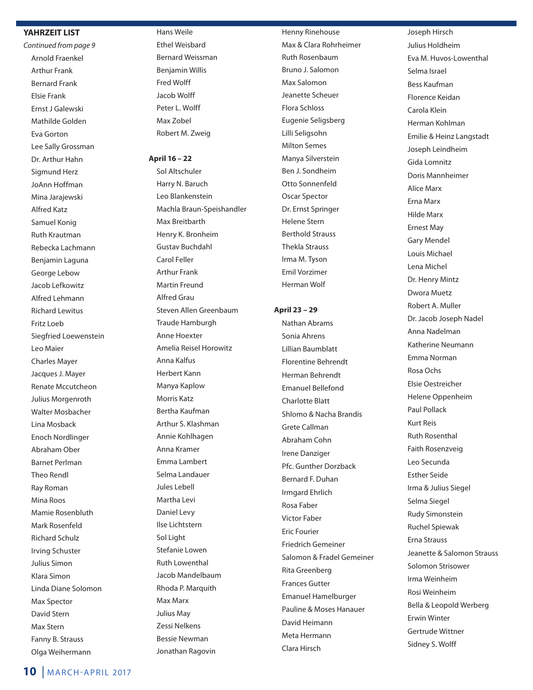#### **YAHRZEIT LIST**

*Continued from page 9* Arnold Fraenkel Arthur Frank Bernard Frank Elsie Frank Ernst J Galewski Mathilde Golden Eva Gorton Lee Sally Grossman Dr. Arthur Hahn Sigmund Herz JoAnn Hoffman Mina Jarajewski Alfred Katz Samuel Konig Ruth Krautman Rebecka Lachmann Benjamin Laguna George Lebow Jacob Lefkowitz Alfred Lehmann Richard Lewitus Fritz Loeb Siegfried Loewenstein Leo Maier Charles Mayer Jacques J. Mayer Renate Mccutcheon Julius Morgenroth Walter Mosbacher Lina Mosback Enoch Nordlinger Abraham Ober Barnet Perlman Theo Rendl Ray Roman Mina Roos Mamie Rosenbluth Mark Rosenfeld Richard Schulz Irving Schuster Julius Simon Klara Simon Linda Diane Solomon Max Spector David Stern Max Stern Fanny B. Strauss Olga Weihermann

Hans Weile Ethel Weisbard Bernard Weissman Benjamin Willis Fred Wolff Jacob Wolff Peter L. Wolff Max Zobel Robert M. Zweig

#### **April 16 – 22**

Sol Altschuler Harry N. Baruch Leo Blankenstein Machla Braun-Speishandler Max Breitbarth Henry K. Bronheim Gustav Buchdahl Carol Feller Arthur Frank Martin Freund Alfred Grau Steven Allen Greenbaum Traude Hamburgh Anne Hoexter Amelia Reisel Horowitz Anna Kalfus Herbert Kann Manya Kaplow Morris Katz Bertha Kaufman Arthur S. Klashman Annie Kohlhagen Anna Kramer Emma Lambert Selma Landauer Jules Lebell Martha Levi Daniel Levy Ilse Lichtstern Sol Light Stefanie Lowen Ruth Lowenthal Jacob Mandelbaum Rhoda P. Marquith Max Marx Julius May Zessi Nelkens Bessie Newman Jonathan Ragovin

Henny Rinehouse Max & Clara Rohrheimer Ruth Rosenbaum Bruno J. Salomon Max Salomon Jeanette Scheuer Flora Schloss Eugenie Seligsberg Lilli Seligsohn Milton Semes Manya Silverstein Ben J. Sondheim Otto Sonnenfeld Oscar Spector Dr. Ernst Springer Helene Stern Berthold Strauss Thekla Strauss Irma M. Tyson Emil Vorzimer Herman Wolf

#### **April 23 – 29**

Nathan Abrams Sonia Ahrens Lillian Baumblatt Florentine Behrendt Herman Behrendt Emanuel Bellefond Charlotte Blatt Shlomo & Nacha Brandis Grete Callman Abraham Cohn Irene Danziger Pfc. Gunther Dorzback Bernard F. Duhan Irmgard Ehrlich Rosa Faber Victor Faber Eric Fourier Friedrich Gemeiner Salomon & Fradel Gemeiner Rita Greenberg Frances Gutter Emanuel Hamelburger Pauline & Moses Hanauer David Heimann Meta Hermann Clara Hirsch

 Joseph Hirsch Julius Holdheim Eva M. Huvos-Lowenthal Selma Israel Bess Kaufman Florence Keidan Carola Klein Herman Kohlman Emilie & Heinz Langstadt Joseph Leindheim Gida Lomnitz Doris Mannheimer Alice Marx Erna Marx Hilde Marx Ernest May Gary Mendel Louis Michael Lena Michel Dr. Henry Mintz Dwora Muetz Robert A. Muller Dr. Jacob Joseph Nadel Anna Nadelman Katherine Neumann Emma Norman Rosa Ochs Elsie Oestreicher Helene Oppenheim Paul Pollack Kurt Reis Ruth Rosenthal Faith Rosenzveig Leo Secunda Esther Seide Irma & Julius Siegel Selma Siegel Rudy Simonstein Ruchel Spiewak Erna Strauss Jeanette & Salomon Strauss Solomon Strisower Irma Weinheim Rosi Weinheim Bella & Leopold Werberg Erwin Winter Gertrude Wittner Sidney S. Wolff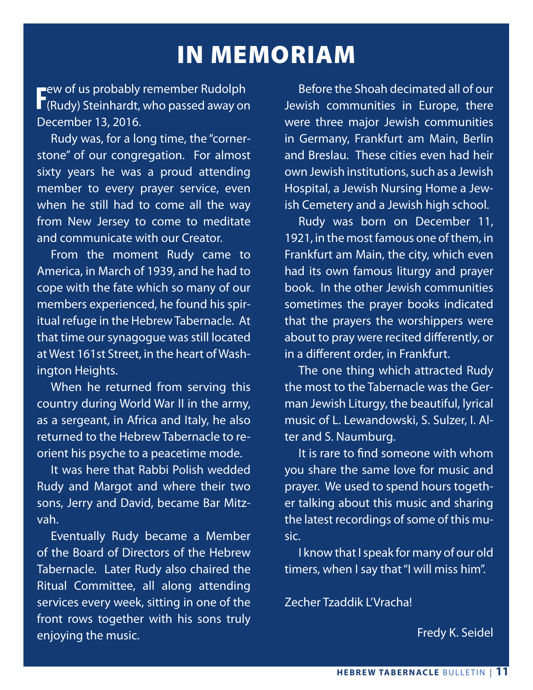# IN MEMORIAM

ew of us probably remember Rudolph **F**ew of us probably remember Rudolph<br>**F** (Rudy) Steinhardt, who passed away on December 13, 2016.

 Rudy was, for a long time, the "cornerstone" of our congregation. For almost sixty years he was a proud attending member to every prayer service, even when he still had to come all the way from New Jersey to come to meditate and communicate with our Creator.

 From the moment Rudy came to America, in March of 1939, and he had to cope with the fate which so many of our members experienced, he found his spiritual refuge in the Hebrew Tabernacle. At that time our synagogue was still located at West 161st Street, in the heart of Washington Heights.

 When he returned from serving this country during World War II in the army, as a sergeant, in Africa and Italy, he also returned to the Hebrew Tabernacle to reorient his psyche to a peacetime mode.

 It was here that Rabbi Polish wedded Rudy and Margot and where their two sons, Jerry and David, became Bar Mitzvah.

 Eventually Rudy became a Member of the Board of Directors of the Hebrew Tabernacle. Later Rudy also chaired the Ritual Committee, all along attending services every week, sitting in one of the front rows together with his sons truly enjoying the music.

 Before the Shoah decimated all of our Jewish communities in Europe, there were three major Jewish communities in Germany, Frankfurt am Main, Berlin and Breslau. These cities even had heir own Jewish institutions, such as a Jewish Hospital, a Jewish Nursing Home a Jewish Cemetery and a Jewish high school.

 Rudy was born on December 11, 1921, in the most famous one of them, in Frankfurt am Main, the city, which even had its own famous liturgy and prayer book. In the other Jewish communities sometimes the prayer books indicated that the prayers the worshippers were about to pray were recited differently, or in a different order, in Frankfurt.

 The one thing which attracted Rudy the most to the Tabernacle was the German Jewish Liturgy, the beautiful, lyrical music of L. Lewandowski, S. Sulzer, I. Alter and S. Naumburg.

 It is rare to find someone with whom you share the same love for music and prayer. We used to spend hours together talking about this music and sharing the latest recordings of some of this music.

 I know that I speak for many of our old timers, when I say that "I will miss him".

Zecher Tzaddik L'Vracha!

Fredy K. Seidel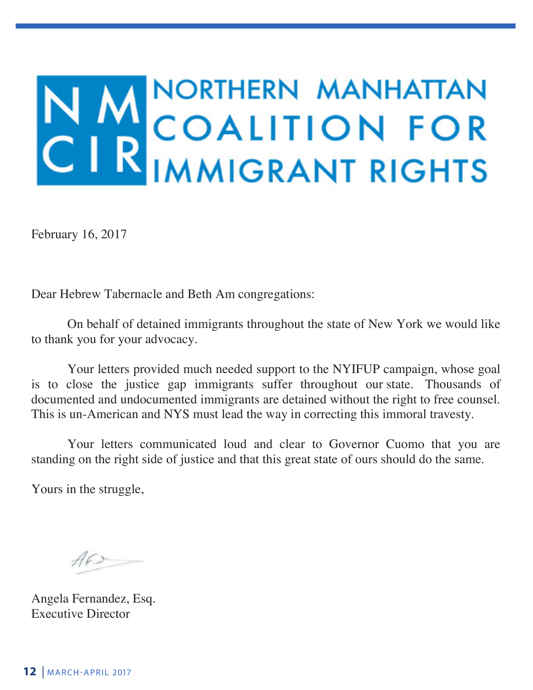# N MORTHERN MANHATTAN

February 16, 2017

Dear Hebrew Tabernacle and Beth Am congregations:

On behalf of detained immigrants throughout the state of New York we would like to thank you for your advocacy.

Your letters provided much needed support to the NYIFUP campaign, whose goal is to close the justice gap immigrants suffer throughout our state. Thousands of documented and undocumented immigrants are detained without the right to free counsel. This is un-American and NYS must lead the way in correcting this immoral travesty.

Your letters communicated loud and clear to Governor Cuomo that you are standing on the right side of justice and that this great state of ours should do the same.

Yours in the struggle,

 $A6x$ 

Angela Fernandez, Esq. Executive Director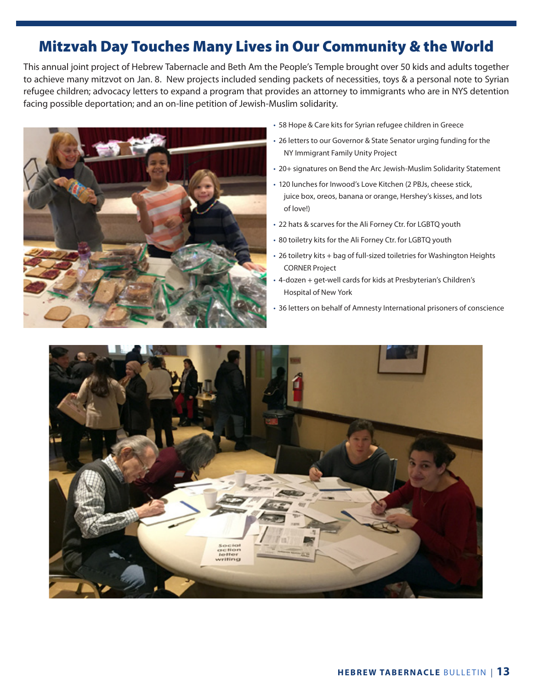# Mitzvah Day Touches Many Lives in Our Community & the World

This annual joint project of Hebrew Tabernacle and Beth Am the People's Temple brought over 50 kids and adults together to achieve many mitzvot on Jan. 8. New projects included sending packets of necessities, toys & a personal note to Syrian refugee children; advocacy letters to expand a program that provides an attorney to immigrants who are in NYS detention facing possible deportation; and an on-line petition of Jewish-Muslim solidarity.



- 58 Hope & Care kits for Syrian refugee children in Greece
- 26 letters to our Governor & State Senator urging funding for the NY Immigrant Family Unity Project
- 20+ signatures on Bend the Arc Jewish-Muslim Solidarity Statement
- 120 lunches for Inwood's Love Kitchen (2 PBJs, cheese stick, juice box, oreos, banana or orange, Hershey's kisses, and lots of love!)
- 22 hats & scarves for the Ali Forney Ctr. for LGBTQ youth
- 80 toiletry kits for the Ali Forney Ctr. for LGBTQ youth
- 26 toiletry kits + bag of full-sized toiletries for Washington Heights CORNER Project
- 4-dozen + get-well cards for kids at Presbyterian's Children's Hospital of New York
- 36 letters on behalf of Amnesty International prisoners of conscience

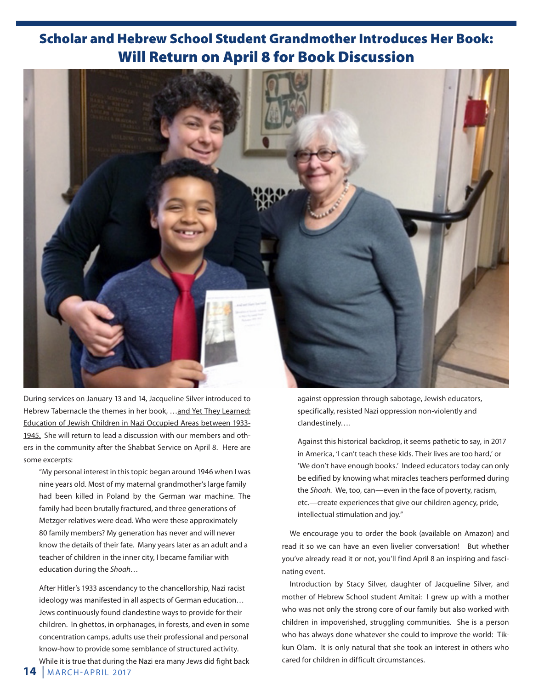## Scholar and Hebrew School Student Grandmother Introduces Her Book: Will Return on April 8 for Book Discussion



During services on January 13 and 14, Jacqueline Silver introduced to Hebrew Tabernacle the themes in her book, …and Yet They Learned: Education of Jewish Children in Nazi Occupied Areas between 1933- 1945. She will return to lead a discussion with our members and others in the community after the Shabbat Service on April 8. Here are some excerpts:

 "My personal interest in this topic began around 1946 when I was nine years old. Most of my maternal grandmother's large family had been killed in Poland by the German war machine. The family had been brutally fractured, and three generations of Metzger relatives were dead. Who were these approximately 80 family members? My generation has never and will never know the details of their fate. Many years later as an adult and a teacher of children in the inner city, I became familiar with education during the *Shoah*…

 After Hitler's 1933 ascendancy to the chancellorship, Nazi racist ideology was manifested in all aspects of German education… Jews continuously found clandestine ways to provide for their children. In ghettos, in orphanages, in forests, and even in some concentration camps, adults use their professional and personal know-how to provide some semblance of structured activity. While it is true that during the Nazi era many Jews did fight back  against oppression through sabotage, Jewish educators, specifically, resisted Nazi oppression non-violently and clandestinely….

Against this historical backdrop, it seems pathetic to say, in 2017 in America, 'I can't teach these kids. Their lives are too hard,' or 'We don't have enough books.' Indeed educators today can only be edified by knowing what miracles teachers performed during the *Shoah.* We, too, can—even in the face of poverty, racism, etc.—create experiences that give our children agency, pride, intellectual stimulation and joy."

We encourage you to order the book (available on Amazon) and read it so we can have an even livelier conversation! But whether you've already read it or not, you'll find April 8 an inspiring and fascinating event.

Introduction by Stacy Silver, daughter of Jacqueline Silver, and mother of Hebrew School student Amitai: I grew up with a mother who was not only the strong core of our family but also worked with children in impoverished, struggling communities. She is a person who has always done whatever she could to improve the world: Tikkun Olam. It is only natural that she took an interest in others who cared for children in difficult circumstances.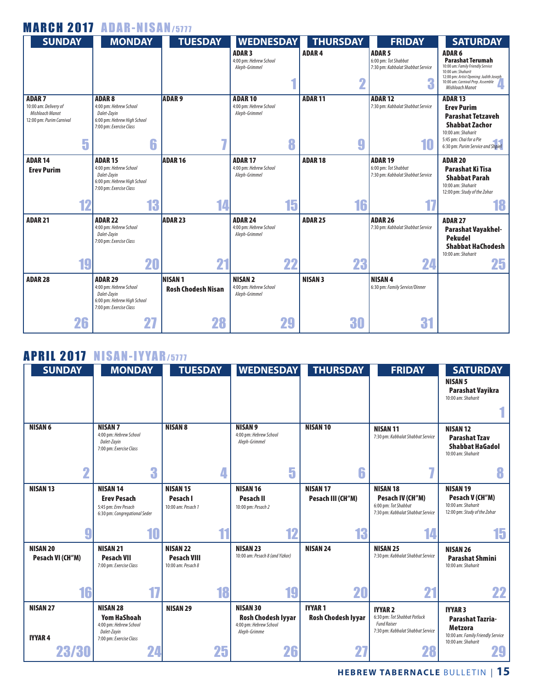| <b>MARCH 2017 ADAR-NISAN/5777</b>           |                                                                                                                   |                                            |                                                           |    |                   |                                                                                      |                                                                                                                                                                                                        |
|---------------------------------------------|-------------------------------------------------------------------------------------------------------------------|--------------------------------------------|-----------------------------------------------------------|----|-------------------|--------------------------------------------------------------------------------------|--------------------------------------------------------------------------------------------------------------------------------------------------------------------------------------------------------|
| <b>SUNDAY</b>                               | <b>MONDAY</b>                                                                                                     | <b>TUESDAY</b>                             | <b>WEDNESDAY</b>                                          |    | <b>THURSDAY</b>   | <b>FRIDAY</b>                                                                        | <b>SATURDAY</b>                                                                                                                                                                                        |
|                                             |                                                                                                                   |                                            | <b>ADAR3</b><br>4:00 pm: Hebrew School<br>Aleph-Grimmel   | 4  | <b>ADAR4</b><br>2 | <b>ADAR 5</b><br>6:00 pm: Tot Shabbat<br>7:30 pm: Kabbalat Shabbat Service<br>G<br>n | <b>ADAR 6</b><br><b>Parashat Terumah</b><br>10:00 am: Family Friendly Service<br>10:00 am: Shaharit<br>12:00 pm: Artist Opening: Judith Joseph<br>10:00 am: Carnival Prep. Assemble<br>Mishloach Manot |
| <b>ADAR7</b><br>10:00 am: Delivery of       | <b>ADAR8</b><br>4:00 pm: Hebrew School                                                                            | <b>ADAR9</b>                               | <b>ADAR10</b><br>4:00 pm: Hebrew School                   |    | <b>ADAR11</b>     | <b>ADAR 12</b><br>7:30 pm: Kabbalat Shabbat Service                                  | <b>ADAR 13</b>                                                                                                                                                                                         |
| Mishloach Manot<br>12:00 pm: Purim Carnival | Dalet-Zavin<br>6:00 pm: Hebrew High School<br>7:00 pm: Exercise Class                                             |                                            | Aleph-Grimmel                                             |    |                   |                                                                                      | <b>Erev Purim</b><br><b>Parashat Tetzaveh</b><br><b>Shabbat Zachor</b><br>10:00 am: Shaharit                                                                                                           |
| 5                                           | 6                                                                                                                 |                                            |                                                           | 8  | g                 | 10                                                                                   | 5:45 pm: Chai for a Pie<br>6:30 pm: Purim Service and Shpiel                                                                                                                                           |
| <b>ADAR 14</b><br><b>Erev Purim</b>         | <b>ADAR 15</b><br>4:00 pm: Hebrew School<br>Dalet-Zavin<br>6:00 pm: Hebrew High School<br>7:00 pm: Exercise Class | <b>ADAR 16</b>                             | <b>ADAR 17</b><br>4:00 pm: Hebrew School<br>Aleph-Grimmel |    | <b>ADAR18</b>     | <b>ADAR 19</b><br>6:00 pm: Tot Shabbat<br>7:30 pm: Kabbalat Shabbat Service          | <b>ADAR 20</b><br><b>Parashat Ki Tisa</b><br><b>Shabbat Parah</b><br>10:00 am: Shaharit<br>12:00 pm: Study of the Zohar                                                                                |
| 12                                          | 13                                                                                                                | 14                                         |                                                           | 15 | 16                |                                                                                      | 18                                                                                                                                                                                                     |
| <b>ADAR 21</b>                              | <b>ADAR 22</b><br>4:00 pm: Hebrew School<br>Dalet-Zayin<br>7:00 pm: Exercise Class                                | <b>ADAR 23</b>                             | <b>ADAR 24</b><br>4:00 pm: Hebrew School<br>Aleph-Grimmel |    | <b>ADAR 25</b>    | <b>ADAR 26</b><br>7:30 pm: Kabbalat Shabbat Service                                  | <b>ADAR 27</b><br><b>Parashat Vayakhel-</b><br><b>Pekudel</b><br><b>Shabbat HaChodesh</b><br>10:00 am: Shaharit                                                                                        |
| 19                                          | 20                                                                                                                | 21                                         |                                                           | 22 | 23                | 24                                                                                   | 25                                                                                                                                                                                                     |
| <b>ADAR 28</b>                              | <b>ADAR 29</b><br>4:00 pm: Hebrew School<br>Dalet-Zayin<br>6:00 pm: Hebrew High School<br>7:00 pm: Exercise Class | <b>NISAN1</b><br><b>Rosh Chodesh Nisan</b> | <b>NISAN 2</b><br>4:00 pm: Hebrew School<br>Aleph-Grimmel |    | <b>NISAN 3</b>    | <b>NISAN4</b><br>6:30 pm: Family Service/Dinner                                      |                                                                                                                                                                                                        |
| 26                                          | 27                                                                                                                | 28                                         |                                                           | 29 | 30                | 31                                                                                   |                                                                                                                                                                                                        |

## APRIL 2017 NISAN-IYYAR/5777

| <b>SUNDAY</b>                             | <b>MONDAY</b>                                                                                                   | <b>TUESDAY</b>                                                    | <b>WEDNESDAY</b>                                                                             | <b>THURSDAY</b>                                  | <b>FRIDAY</b>                                                                                                   | <b>SATURDAY</b><br><b>NISAN 5</b><br><b>Parashat Vayikra</b><br>10:00 am: Shaharit                                   |
|-------------------------------------------|-----------------------------------------------------------------------------------------------------------------|-------------------------------------------------------------------|----------------------------------------------------------------------------------------------|--------------------------------------------------|-----------------------------------------------------------------------------------------------------------------|----------------------------------------------------------------------------------------------------------------------|
| <b>NISAN 6</b>                            | <b>NISAN 7</b><br>4:00 pm: Hebrew School<br>Dalet-Zayin<br>7:00 pm: Exercise Class                              | <b>NISAN 8</b>                                                    | <b>NISAN 9</b><br>4:00 pm: Hebrew School<br>Aleph-Grimmel                                    | <b>NISAN 10</b>                                  | <b>NISAN11</b><br>7:30 pm: Kabbalat Shabbat Service                                                             | <b>NISAN 12</b><br><b>Parashat Tzav</b><br><b>Shabbat HaGadol</b><br>10:00 am: Shaharit                              |
| ഹ                                         | 3                                                                                                               |                                                                   | 5                                                                                            | 6                                                |                                                                                                                 | 8                                                                                                                    |
| <b>NISAN 13</b><br>y                      | <b>NISAN 14</b><br><b>Erev Pesach</b><br>5:45 pm: Erev Pesach<br>6:30 pm: Congregational Seder<br>10            | <b>NISAN 15</b><br>Pesach I<br>10:00 am: Pesach 1<br>44           | <b>NISAN 16</b><br><b>Pesach II</b><br>10:00 pm: Pesach 2<br>12                              | <b>NISAN 17</b><br>Pesach III (CH"M)<br>13       | <b>NISAN 18</b><br>Pesach IV (CH"M)<br>6:00 pm: Tot Shabbat<br>7:30 pm: Kabbalat Shabbat Service<br>14          | <b>NISAN 19</b><br>Pesach V (CH"M)<br>10:00 am: Shaharit<br>12:00 pm: Study of the Zohar<br>15                       |
| <b>NISAN 20</b><br>Pesach VI (CH"M)<br>16 | <b>NISAN 21</b><br><b>Pesach VII</b><br>7:00 pm: Exercise Class<br>17                                           | <b>NISAN 22</b><br><b>Pesach VIII</b><br>10:00 am: Pesach 8<br>18 | <b>NISAN 23</b><br>10:00 am: Pesach 8 (and Yizkor)<br>19                                     | <b>NISAN 24</b><br>20                            | <b>NISAN 25</b><br>7:30 pm: Kabbalat Shabbat Service<br>21                                                      | <b>NISAN 26</b><br><b>Parashat Shmini</b><br>10:00 am: Shaharit<br>22                                                |
| <b>NISAN 27</b><br><b>IYYAR4</b><br>23/30 | <b>NISAN 28</b><br><b>Yom HaShoah</b><br>4:00 pm: Hebrew School<br>Dalet-Zayin<br>7:00 pm: Exercise Class<br>24 | <b>NISAN 29</b><br>25                                             | <b>NISAN 30</b><br><b>Rosh Chodesh Iyyar</b><br>4:00 pm: Hebrew School<br>Aleph-Grimme<br>26 | <b>IYYAR1</b><br><b>Rosh Chodesh Iyyar</b><br>27 | <b>IYYAR 2</b><br>6:30 pm: Tot Shabbat Potluck<br><b>Fund Raiser</b><br>7:30 pm: Kabbalat Shabbat Service<br>28 | <b>IYYAR3</b><br>Parashat Tazria-<br><b>Metzora</b><br>10:00 am: Family Friendly Service<br>10:00 am: Shaharit<br>29 |